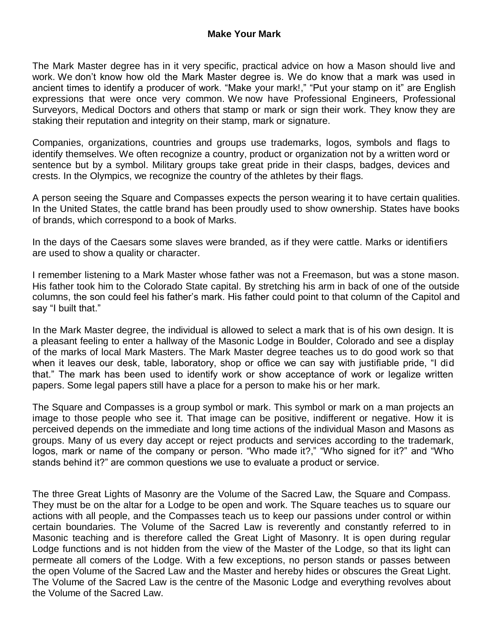The Mark Master degree has in it very specific, practical advice on how a Mason should live and work. We don't know how old the Mark Master degree is. We do know that a mark was used in ancient times to identify a producer of work. "Make your mark!," "Put your stamp on it" are English expressions that were once very common. We now have Professional Engineers, Professional Surveyors, Medical Doctors and others that stamp or mark or sign their work. They know they are staking their reputation and integrity on their stamp, mark or signature.

Companies, organizations, countries and groups use trademarks, logos, symbols and flags to identify themselves. We often recognize a country, product or organization not by a written word or sentence but by a symbol. Military groups take great pride in their clasps, badges, devices and crests. In the Olympics, we recognize the country of the athletes by their flags.

A person seeing the Square and Compasses expects the person wearing it to have certain qualities. In the United States, the cattle brand has been proudly used to show ownership. States have books of brands, which correspond to a book of Marks.

In the days of the Caesars some slaves were branded, as if they were cattle. Marks or identifiers are used to show a quality or character.

I remember listening to a Mark Master whose father was not a Freemason, but was a stone mason. His father took him to the Colorado State capital. By stretching his arm in back of one of the outside columns, the son could feel his father's mark. His father could point to that column of the Capitol and say "I built that."

In the Mark Master degree, the individual is allowed to select a mark that is of his own design. It is a pleasant feeling to enter a hallway of the Masonic Lodge in Boulder, Colorado and see a display of the marks of local Mark Masters. The Mark Master degree teaches us to do good work so that when it leaves our desk, table, laboratory, shop or office we can say with justifiable pride, "I did that." The mark has been used to identify work or show acceptance of work or legalize written papers. Some legal papers still have a place for a person to make his or her mark.

The Square and Compasses is a group symbol or mark. This symbol or mark on a man projects an image to those people who see it. That image can be positive, indifferent or negative. How it is perceived depends on the immediate and long time actions of the individual Mason and Masons as groups. Many of us every day accept or reject products and services according to the trademark, logos, mark or name of the company or person. "Who made it?," "Who signed for it?" and "Who stands behind it?" are common questions we use to evaluate a product or service.

The three Great Lights of Masonry are the Volume of the Sacred Law, the Square and Compass. They must be on the altar for a Lodge to be open and work. The Square teaches us to square our actions with all people, and the Compasses teach us to keep our passions under control or within certain boundaries. The Volume of the Sacred Law is reverently and constantly referred to in Masonic teaching and is therefore called the Great Light of Masonry. It is open during regular Lodge functions and is not hidden from the view of the Master of the Lodge, so that its light can permeate all comers of the Lodge. With a few exceptions, no person stands or passes between the open Volume of the Sacred Law and the Master and hereby hides or obscures the Great Light. The Volume of the Sacred Law is the centre of the Masonic Lodge and everything revolves about the Volume of the Sacred Law.